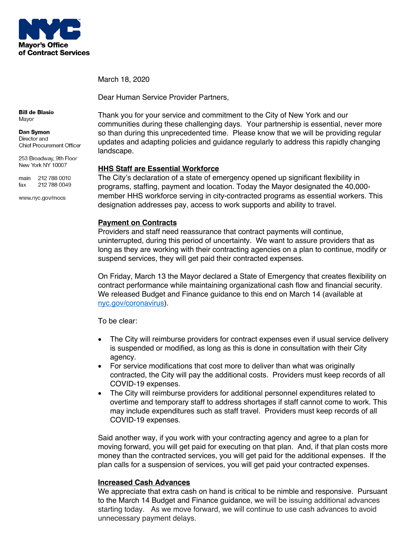

March 18, 2020

Dear Human Service Provider Partners,

**Bill de Blasio** Mayor

#### Dan Symon Director and **Chief Procurement Officer**

253 Broadway, 9th Floor New York NY 10007

main 212 788 0010 212 788 0049 fax

www.nyc.gov/mocs

Thank you for your service and commitment to the City of New York and our communities during these challenging days. Your partnership is essential, never more so than during this unprecedented time. Please know that we will be providing regular updates and adapting policies and guidance regularly to address this rapidly changing landscape.

## **HHS Staff are Essential Workforce**

The City's declaration of a state of emergency opened up significant flexibility in programs, staffing, payment and location. Today the Mayor designated the 40,000 member HHS workforce serving in city-contracted programs as essential workers. This designation addresses pay, access to work supports and ability to travel.

# **Payment on Contracts**

Providers and staff need reassurance that contract payments will continue, uninterrupted, during this period of uncertainty. We want to assure providers that as long as they are working with their contracting agencies on a plan to continue, modify or suspend services, they will get paid their contracted expenses.

On Friday, March 13 the Mayor declared a State of Emergency that creates flexibility on contract performance while maintaining organizational cash flow and financial security. We released Budget and Finance guidance to this end on March 14 (available at nyc.gov/coronavirus).

To be clear:

- The City will reimburse providers for contract expenses even if usual service delivery is suspended or modified, as long as this is done in consultation with their City agency.
- For service modifications that cost more to deliver than what was originally contracted, the City will pay the additional costs. Providers must keep records of all COVID-19 expenses.
- The City will reimburse providers for additional personnel expenditures related to overtime and temporary staff to address shortages if staff cannot come to work. This may include expenditures such as staff travel. Providers must keep records of all COVID-19 expenses.

Said another way, if you work with your contracting agency and agree to a plan for moving forward, you will get paid for executing on that plan. And, if that plan costs more money than the contracted services, you will get paid for the additional expenses. If the plan calls for a suspension of services, you will get paid your contracted expenses.

# **Increased Cash Advances**

We appreciate that extra cash on hand is critical to be nimble and responsive. Pursuant to the March 14 Budget and Finance guidance, we will be issuing additional advances starting today. As we move forward, we will continue to use cash advances to avoid unnecessary payment delays.